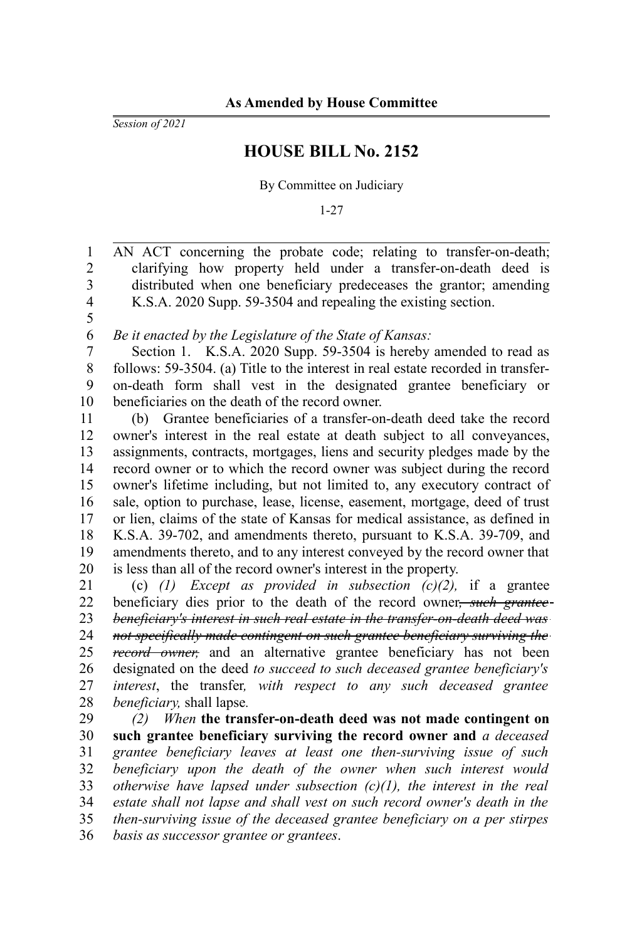*Session of 2021*

## **HOUSE BILL No. 2152**

By Committee on Judiciary

1-27

AN ACT concerning the probate code; relating to transfer-on-death; clarifying how property held under a transfer-on-death deed is distributed when one beneficiary predeceases the grantor; amending K.S.A. 2020 Supp. 59-3504 and repealing the existing section. 1 2 3 4

5

*Be it enacted by the Legislature of the State of Kansas:* 6

Section 1. K.S.A. 2020 Supp. 59-3504 is hereby amended to read as follows: 59-3504. (a) Title to the interest in real estate recorded in transferon-death form shall vest in the designated grantee beneficiary or beneficiaries on the death of the record owner. 7 8 9 10

(b) Grantee beneficiaries of a transfer-on-death deed take the record owner's interest in the real estate at death subject to all conveyances, assignments, contracts, mortgages, liens and security pledges made by the record owner or to which the record owner was subject during the record owner's lifetime including, but not limited to, any executory contract of sale, option to purchase, lease, license, easement, mortgage, deed of trust or lien, claims of the state of Kansas for medical assistance, as defined in K.S.A. 39-702, and amendments thereto, pursuant to K.S.A. 39-709, and amendments thereto, and to any interest conveyed by the record owner that is less than all of the record owner's interest in the property. 11 12 13 14 15 16 17 18 19 20

(c) *(1) Except as provided in subsection (c)(2),* if a grantee beneficiary dies prior to the death of the record owner*, such grantee beneficiary's interest in such real estate in the transfer-on-death deed was not specifically made contingent on such grantee beneficiary surviving the record owner,* and an alternative grantee beneficiary has not been designated on the deed *to succeed to such deceased grantee beneficiary's interest*, the transfer*, with respect to any such deceased grantee beneficiary,* shall lapse*.* 21 22 23 24 25 26 27 28

*(2) When* **the transfer-on-death deed was not made contingent on such grantee beneficiary surviving the record owner and** *a deceased grantee beneficiary leaves at least one then-surviving issue of such beneficiary upon the death of the owner when such interest would otherwise have lapsed under subsection (c)(1), the interest in the real estate shall not lapse and shall vest on such record owner's death in the then-surviving issue of the deceased grantee beneficiary on a per stirpes basis as successor grantee or grantees*. 29 30 31 32 33 34 35 36